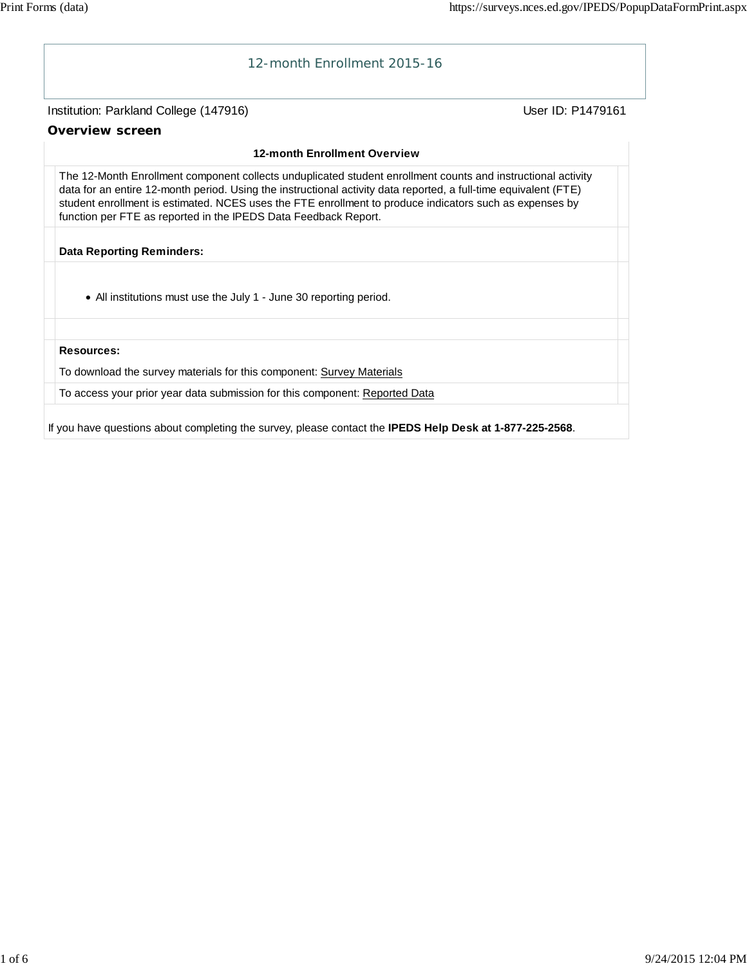

If you have questions about completing the survey, please contact the **IPEDS Help Desk at 1-877-225-2568**.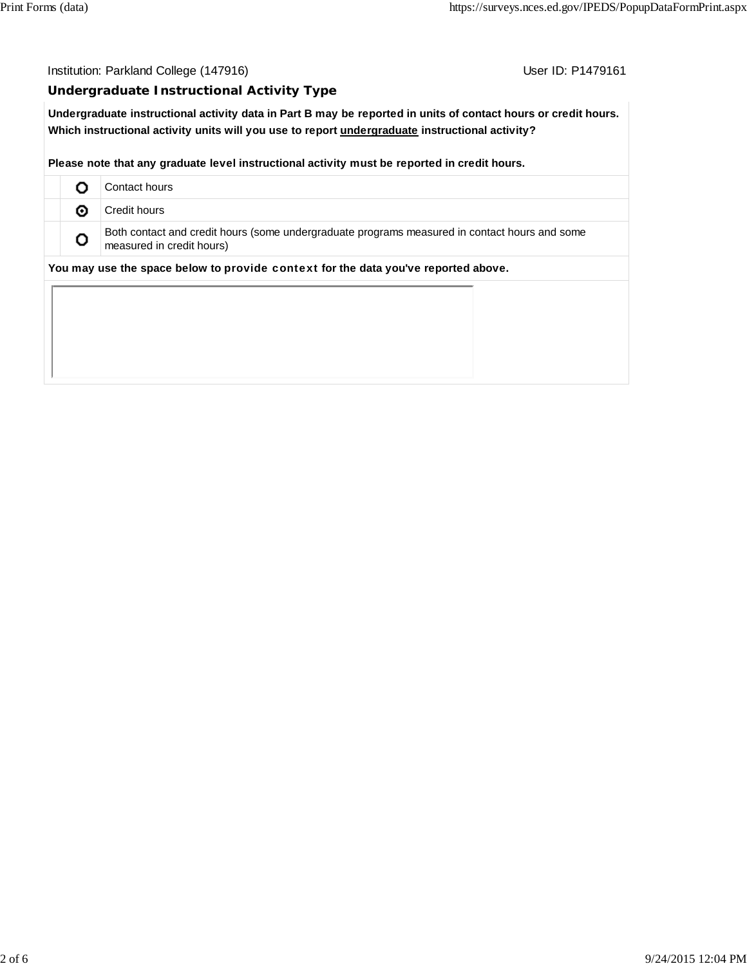Institution: Parkland College (147916) Contact College (147916)

## **Undergraduate Instructional Activity Type**

**Undergraduate instructional activity data in Part B may be reported in units of contact hours or credit hours. Which instructional activity units will you use to report undergraduate instructional activity?**

**Please note that any graduate level instructional activity must be reported in credit hours.**

|                                                                                    |   | Contact hours                                                                                                              |  |  |  |  |
|------------------------------------------------------------------------------------|---|----------------------------------------------------------------------------------------------------------------------------|--|--|--|--|
|                                                                                    | ⊙ | Credit hours                                                                                                               |  |  |  |  |
|                                                                                    | O | Both contact and credit hours (some undergraduate programs measured in contact hours and some<br>measured in credit hours) |  |  |  |  |
| You may use the space below to provide context for the data you've reported above. |   |                                                                                                                            |  |  |  |  |
|                                                                                    |   |                                                                                                                            |  |  |  |  |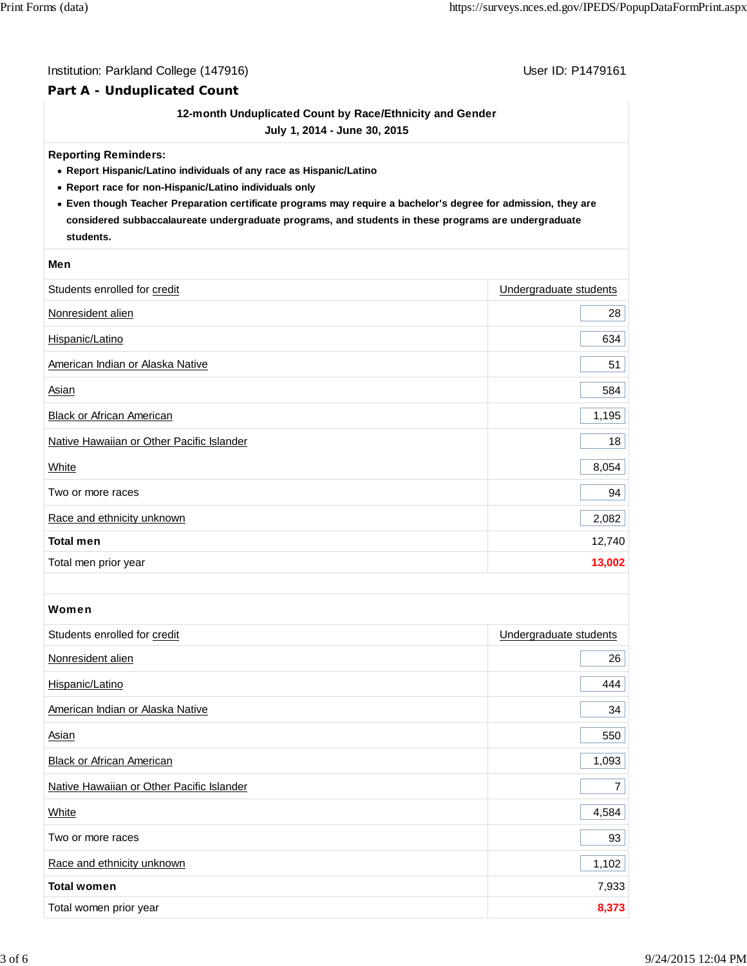## Institution: Parkland College (147916) Contract College (147916)

# **Part A - Unduplicated Count**

# **12-month Unduplicated Count by Race/Ethnicity and Gender**

**July 1, 2014 - June 30, 2015**

### **Reporting Reminders:**

- **Report Hispanic/Latino individuals of any race as Hispanic/Latino**
- **Report race for non-Hispanic/Latino individuals only**
- **Even though Teacher Preparation certificate programs may require a bachelor's degree for admission, they are considered subbaccalaureate undergraduate programs, and students in these programs are undergraduate students.**

#### **Men**

| Students enrolled for credit              | Undergraduate students |
|-------------------------------------------|------------------------|
| Nonresident alien                         | 28                     |
| Hispanic/Latino                           | 634                    |
| American Indian or Alaska Native          | 51                     |
| Asian                                     | 584                    |
| Black or African American                 | 1,195                  |
| Native Hawaiian or Other Pacific Islander | 18                     |
| White                                     | 8,054                  |
| Two or more races                         | 94                     |
| Race and ethnicity unknown                | 2,082                  |
| <b>Total men</b>                          | 12,740                 |
| Total men prior year                      | 13,002                 |

## Women

| Students enrolled for credit              | Undergraduate students |
|-------------------------------------------|------------------------|
| Nonresident alien                         | 26                     |
| Hispanic/Latino                           | 444                    |
| American Indian or Alaska Native          | 34                     |
| Asian                                     | 550                    |
| <b>Black or African American</b>          | 1,093                  |
| Native Hawaiian or Other Pacific Islander | $\overline{7}$         |
| White                                     | 4,584                  |
| Two or more races                         | 93                     |
| Race and ethnicity unknown                | 1,102                  |
| <b>Total women</b>                        | 7,933                  |
| Total women prior year                    | 8,373                  |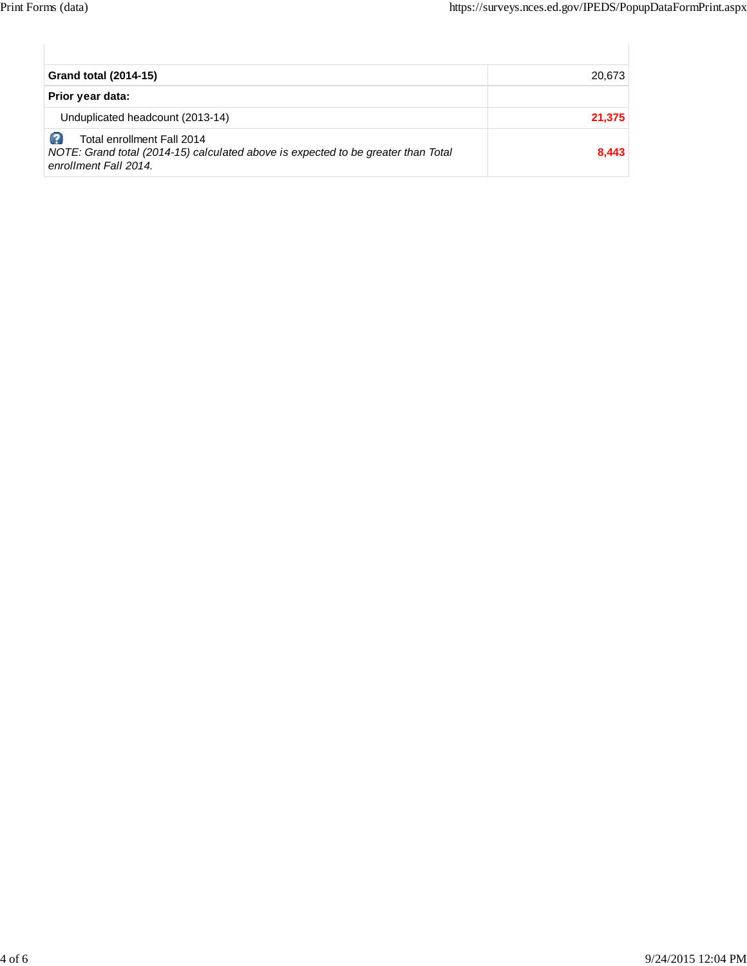| <b>Grand total (2014-15)</b>                                                                                                             | 20,673 |
|------------------------------------------------------------------------------------------------------------------------------------------|--------|
| Prior year data:                                                                                                                         |        |
| Unduplicated headcount (2013-14)                                                                                                         | 21,375 |
| Total enrollment Fall 2014<br>NOTE: Grand total (2014-15) calculated above is expected to be greater than Total<br>enrollment Fall 2014. | 8,443  |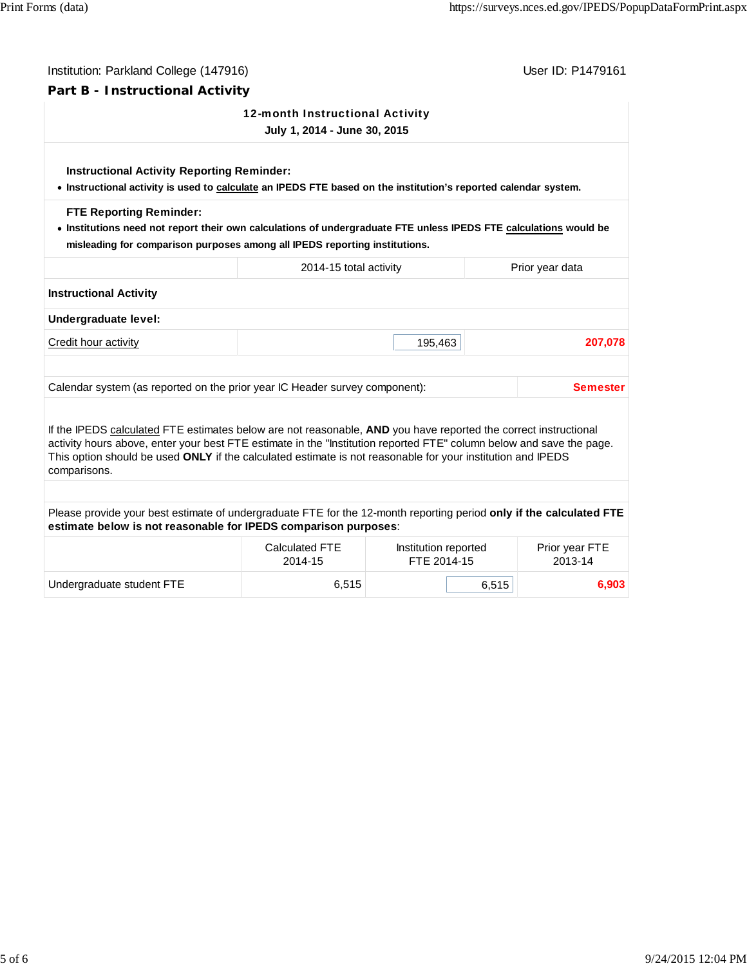| Part B - Instructional Activity<br>12-month Instructional Activity<br>July 1, 2014 - June 30, 2015<br><b>Instructional Activity Reporting Reminder:</b><br>. Instructional activity is used to calculate an IPEDS FTE based on the institution's reported calendar system.<br><b>FTE Reporting Reminder:</b><br>. Institutions need not report their own calculations of undergraduate FTE unless IPEDS FTE calculations would be<br>misleading for comparison purposes among all IPEDS reporting institutions.<br>2014-15 total activity<br>Prior year data<br><b>Instructional Activity</b><br>Undergraduate level:<br>Credit hour activity<br>195,463<br>Calendar system (as reported on the prior year IC Header survey component):<br>If the IPEDS calculated FTE estimates below are not reasonable, AND you have reported the correct instructional<br>activity hours above, enter your best FTE estimate in the "Institution reported FTE" column below and save the page.<br>This option should be used ONLY if the calculated estimate is not reasonable for your institution and IPEDS<br>comparisons.<br>Please provide your best estimate of undergraduate FTE for the 12-month reporting period only if the calculated FTE<br>estimate below is not reasonable for IPEDS comparison purposes:<br><b>Calculated FTE</b><br>Institution reported<br>FTE 2014-15<br>2013-14<br>2014-15 | Institution: Parkland College (147916) | User ID: P1479161 |  |  |                 |  |  |  |  |
|---------------------------------------------------------------------------------------------------------------------------------------------------------------------------------------------------------------------------------------------------------------------------------------------------------------------------------------------------------------------------------------------------------------------------------------------------------------------------------------------------------------------------------------------------------------------------------------------------------------------------------------------------------------------------------------------------------------------------------------------------------------------------------------------------------------------------------------------------------------------------------------------------------------------------------------------------------------------------------------------------------------------------------------------------------------------------------------------------------------------------------------------------------------------------------------------------------------------------------------------------------------------------------------------------------------------------------------------------------------------------------------------------|----------------------------------------|-------------------|--|--|-----------------|--|--|--|--|
|                                                                                                                                                                                                                                                                                                                                                                                                                                                                                                                                                                                                                                                                                                                                                                                                                                                                                                                                                                                                                                                                                                                                                                                                                                                                                                                                                                                                   |                                        |                   |  |  |                 |  |  |  |  |
|                                                                                                                                                                                                                                                                                                                                                                                                                                                                                                                                                                                                                                                                                                                                                                                                                                                                                                                                                                                                                                                                                                                                                                                                                                                                                                                                                                                                   |                                        |                   |  |  |                 |  |  |  |  |
|                                                                                                                                                                                                                                                                                                                                                                                                                                                                                                                                                                                                                                                                                                                                                                                                                                                                                                                                                                                                                                                                                                                                                                                                                                                                                                                                                                                                   |                                        |                   |  |  |                 |  |  |  |  |
|                                                                                                                                                                                                                                                                                                                                                                                                                                                                                                                                                                                                                                                                                                                                                                                                                                                                                                                                                                                                                                                                                                                                                                                                                                                                                                                                                                                                   |                                        |                   |  |  |                 |  |  |  |  |
|                                                                                                                                                                                                                                                                                                                                                                                                                                                                                                                                                                                                                                                                                                                                                                                                                                                                                                                                                                                                                                                                                                                                                                                                                                                                                                                                                                                                   |                                        |                   |  |  |                 |  |  |  |  |
|                                                                                                                                                                                                                                                                                                                                                                                                                                                                                                                                                                                                                                                                                                                                                                                                                                                                                                                                                                                                                                                                                                                                                                                                                                                                                                                                                                                                   |                                        |                   |  |  |                 |  |  |  |  |
|                                                                                                                                                                                                                                                                                                                                                                                                                                                                                                                                                                                                                                                                                                                                                                                                                                                                                                                                                                                                                                                                                                                                                                                                                                                                                                                                                                                                   |                                        |                   |  |  |                 |  |  |  |  |
|                                                                                                                                                                                                                                                                                                                                                                                                                                                                                                                                                                                                                                                                                                                                                                                                                                                                                                                                                                                                                                                                                                                                                                                                                                                                                                                                                                                                   |                                        |                   |  |  | 207,078         |  |  |  |  |
|                                                                                                                                                                                                                                                                                                                                                                                                                                                                                                                                                                                                                                                                                                                                                                                                                                                                                                                                                                                                                                                                                                                                                                                                                                                                                                                                                                                                   |                                        |                   |  |  |                 |  |  |  |  |
|                                                                                                                                                                                                                                                                                                                                                                                                                                                                                                                                                                                                                                                                                                                                                                                                                                                                                                                                                                                                                                                                                                                                                                                                                                                                                                                                                                                                   |                                        |                   |  |  | <b>Semester</b> |  |  |  |  |
|                                                                                                                                                                                                                                                                                                                                                                                                                                                                                                                                                                                                                                                                                                                                                                                                                                                                                                                                                                                                                                                                                                                                                                                                                                                                                                                                                                                                   |                                        |                   |  |  |                 |  |  |  |  |
|                                                                                                                                                                                                                                                                                                                                                                                                                                                                                                                                                                                                                                                                                                                                                                                                                                                                                                                                                                                                                                                                                                                                                                                                                                                                                                                                                                                                   |                                        |                   |  |  |                 |  |  |  |  |
|                                                                                                                                                                                                                                                                                                                                                                                                                                                                                                                                                                                                                                                                                                                                                                                                                                                                                                                                                                                                                                                                                                                                                                                                                                                                                                                                                                                                   |                                        |                   |  |  |                 |  |  |  |  |
|                                                                                                                                                                                                                                                                                                                                                                                                                                                                                                                                                                                                                                                                                                                                                                                                                                                                                                                                                                                                                                                                                                                                                                                                                                                                                                                                                                                                   |                                        |                   |  |  | Prior year FTE  |  |  |  |  |
| 6,515<br>Undergraduate student FTE<br>6,515                                                                                                                                                                                                                                                                                                                                                                                                                                                                                                                                                                                                                                                                                                                                                                                                                                                                                                                                                                                                                                                                                                                                                                                                                                                                                                                                                       |                                        |                   |  |  | 6,903           |  |  |  |  |